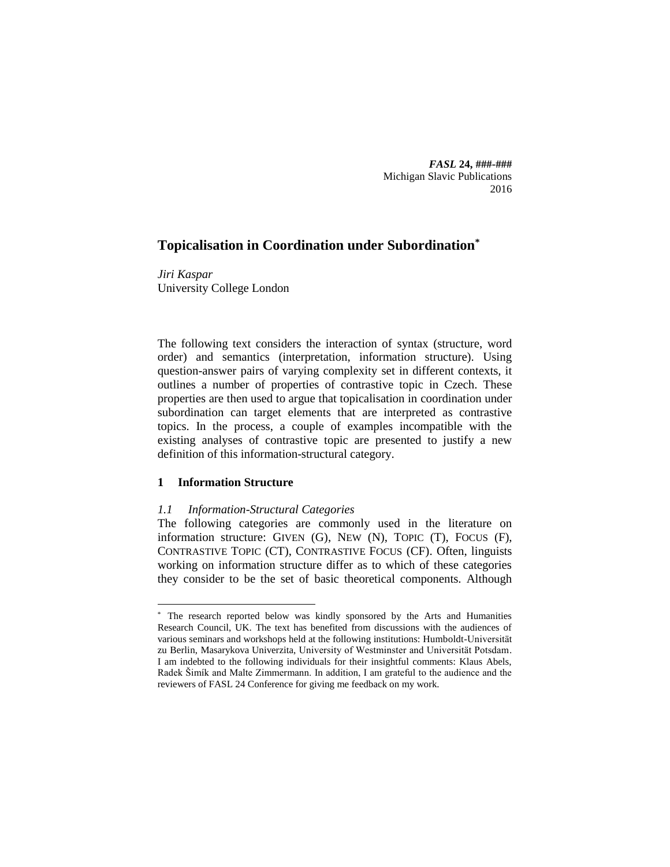*FASL* **24, ###-###** Michigan Slavic Publications 2016

# **Topicalisation in Coordination under Subordination\***

*Jiri Kaspar* University College London

The following text considers the interaction of syntax (structure, word order) and semantics (interpretation, information structure). Using question-answer pairs of varying complexity set in different contexts, it outlines a number of properties of contrastive topic in Czech. These properties are then used to argue that topicalisation in coordination under subordination can target elements that are interpreted as contrastive topics. In the process, a couple of examples incompatible with the existing analyses of contrastive topic are presented to justify a new definition of this information-structural category.

## **1 Information Structure**

 $\overline{a}$ 

## *1.1 Information-Structural Categories*

The following categories are commonly used in the literature on information structure: GIVEN (G), NEW (N), TOPIC (T), FOCUS (F), CONTRASTIVE TOPIC (CT), CONTRASTIVE FOCUS (CF). Often, linguists working on information structure differ as to which of these categories they consider to be the set of basic theoretical components. Although

<sup>\*</sup> The research reported below was kindly sponsored by the Arts and Humanities Research Council, UK. The text has benefited from discussions with the audiences of various seminars and workshops held at the following institutions: Humboldt-Universität zu Berlin, Masarykova Univerzita, University of Westminster and Universität Potsdam. I am indebted to the following individuals for their insightful comments: Klaus Abels, Radek Šimík and Malte Zimmermann. In addition, I am grateful to the audience and the reviewers of FASL 24 Conference for giving me feedback on my work.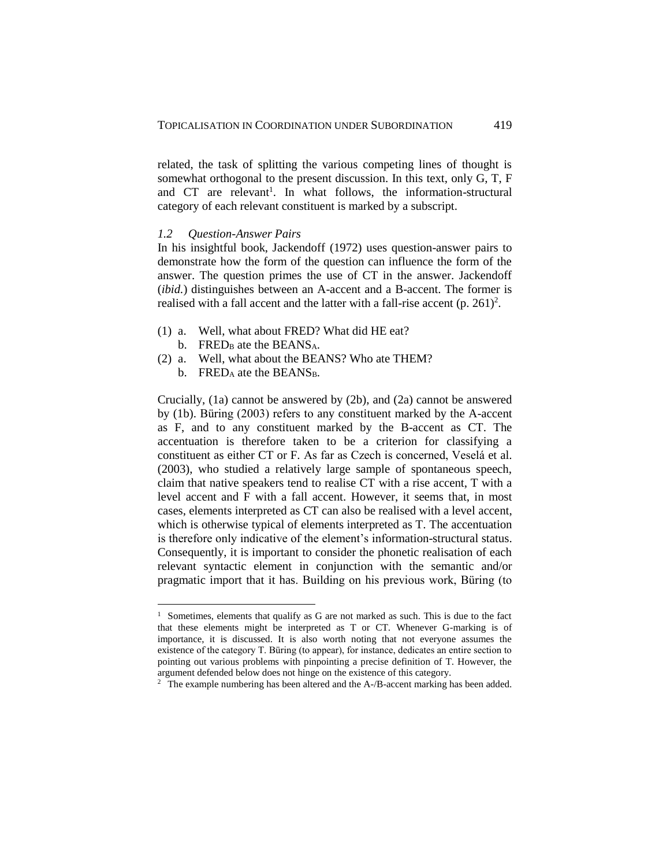related, the task of splitting the various competing lines of thought is somewhat orthogonal to the present discussion. In this text, only G, T, F and CT are relevant<sup>1</sup>. In what follows, the information-structural category of each relevant constituent is marked by a subscript.

### *1.2 Question-Answer Pairs*

In his insightful book, Jackendoff (1972) uses question-answer pairs to demonstrate how the form of the question can influence the form of the answer. The question primes the use of CT in the answer. Jackendoff (*ibid.*) distinguishes between an A-accent and a B-accent. The former is realised with a fall accent and the latter with a fall-rise accent  $(p. 261)^2$ .

- (1) a. Well, what about FRED? What did HE eat? b. FRED<sub>B</sub> ate the BEANS<sub>A</sub>.
- (2) a. Well, what about the BEANS? Who ate THEM?

b. FRED<sub>A</sub> ate the BEANS<sub>B</sub>.

 $\overline{a}$ 

Crucially, (1a) cannot be answered by (2b), and (2a) cannot be answered by (1b). Büring (2003) refers to any constituent marked by the A-accent as F, and to any constituent marked by the B-accent as CT. The accentuation is therefore taken to be a criterion for classifying a constituent as either CT or F. As far as Czech is concerned, Veselá et al. (2003), who studied a relatively large sample of spontaneous speech, claim that native speakers tend to realise CT with a rise accent, T with a level accent and F with a fall accent. However, it seems that, in most cases, elements interpreted as CT can also be realised with a level accent, which is otherwise typical of elements interpreted as T. The accentuation is therefore only indicative of the element's information-structural status. Consequently, it is important to consider the phonetic realisation of each relevant syntactic element in conjunction with the semantic and/or pragmatic import that it has. Building on his previous work, Büring (to

<sup>&</sup>lt;sup>1</sup> Sometimes, elements that qualify as G are not marked as such. This is due to the fact that these elements might be interpreted as T or CT. Whenever G-marking is of importance, it is discussed. It is also worth noting that not everyone assumes the existence of the category T. Büring (to appear), for instance, dedicates an entire section to pointing out various problems with pinpointing a precise definition of T. However, the argument defended below does not hinge on the existence of this category.

<sup>&</sup>lt;sup>2</sup> The example numbering has been altered and the A-/B-accent marking has been added.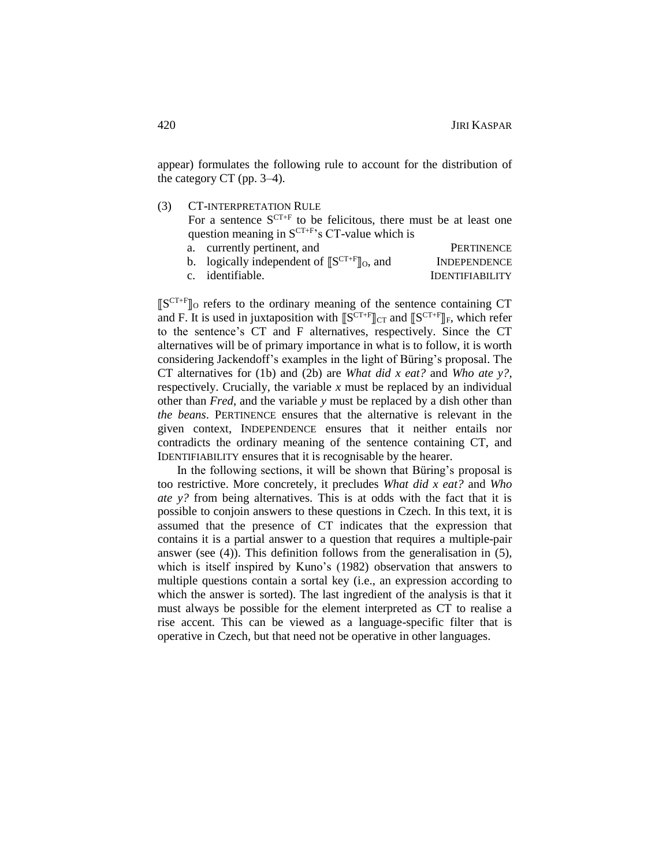appear) formulates the following rule to account for the distribution of the category CT (pp. 3–4).

(3) CT-INTERPRETATION RULE

For a sentence  $S^{CT+F}$  to be felicitous, there must be at least one question meaning in  $S^{CT+F}$ 's CT-value which is

a. currently pertinent, and PERTINENCE b. logically independent of  $\llbracket S^{CT+F} \rrbracket_0$ , and **INDEPENDENCE** c. identifiable. IDENTIFIABILITY

⟦S CT+F⟧<sup>O</sup> refers to the ordinary meaning of the sentence containing CT and F. It is used in juxtaposition with  $[\![S^{CT+F}]\!]_{CT}$  and  $[\![S^{CT+F}]\!]_F$ , which refer to the sentence's CT and F alternatives, respectively. Since the CT alternatives will be of primary importance in what is to follow, it is worth considering Jackendoff's examples in the light of Büring's proposal. The CT alternatives for (1b) and (2b) are *What did x eat?* and *Who ate y?*, respectively. Crucially, the variable *x* must be replaced by an individual other than *Fred*, and the variable *y* must be replaced by a dish other than *the beans*. PERTINENCE ensures that the alternative is relevant in the given context, INDEPENDENCE ensures that it neither entails nor contradicts the ordinary meaning of the sentence containing CT, and IDENTIFIABILITY ensures that it is recognisable by the hearer.

In the following sections, it will be shown that Büring's proposal is too restrictive. More concretely, it precludes *What did x eat?* and *Who ate y?* from being alternatives. This is at odds with the fact that it is possible to conjoin answers to these questions in Czech. In this text, it is assumed that the presence of CT indicates that the expression that contains it is a partial answer to a question that requires a multiple-pair answer (see (4)). This definition follows from the generalisation in (5), which is itself inspired by Kuno's (1982) observation that answers to multiple questions contain a sortal key (i.e., an expression according to which the answer is sorted). The last ingredient of the analysis is that it must always be possible for the element interpreted as CT to realise a rise accent. This can be viewed as a language-specific filter that is operative in Czech, but that need not be operative in other languages.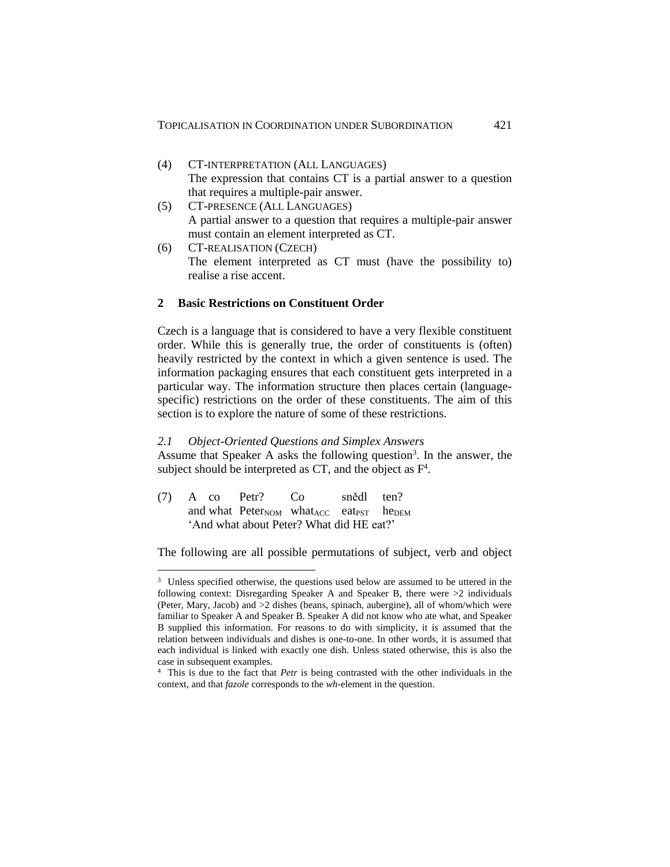- (4) CT-INTERPRETATION (ALL LANGUAGES) The expression that contains CT is a partial answer to a question that requires a multiple-pair answer.
- (5) CT-PRESENCE (ALL LANGUAGES) A partial answer to a question that requires a multiple-pair answer must contain an element interpreted as CT.
- (6) CT-REALISATION (CZECH) The element interpreted as CT must (have the possibility to) realise a rise accent.

### **2 Basic Restrictions on Constituent Order**

Czech is a language that is considered to have a very flexible constituent order. While this is generally true, the order of constituents is (often) heavily restricted by the context in which a given sentence is used. The information packaging ensures that each constituent gets interpreted in a particular way. The information structure then places certain (languagespecific) restrictions on the order of these constituents. The aim of this section is to explore the nature of some of these restrictions.

### *2.1 Object-Oriented Questions and Simplex Answers*

Assume that Speaker A asks the following question<sup>3</sup>. In the answer, the subject should be interpreted as CT, and the object as  $F<sup>4</sup>$ .

(7) A co Petr? Co snědl ten? and what  $Peter_{NOM}$  what  $Acc$  eat<sub>PST</sub> he<sub>DEM</sub> 'And what about Peter? What did HE eat?'

 $\overline{a}$ 

The following are all possible permutations of subject, verb and object

<sup>&</sup>lt;sup>3</sup> Unless specified otherwise, the questions used below are assumed to be uttered in the following context: Disregarding Speaker A and Speaker B, there were >2 individuals (Peter, Mary, Jacob) and >2 dishes (beans, spinach, aubergine), all of whom/which were familiar to Speaker A and Speaker B. Speaker A did not know who ate what, and Speaker B supplied this information. For reasons to do with simplicity, it is assumed that the relation between individuals and dishes is one-to-one. In other words, it is assumed that each individual is linked with exactly one dish. Unless stated otherwise, this is also the case in subsequent examples.

<sup>4</sup> This is due to the fact that *Petr* is being contrasted with the other individuals in the context, and that *fazole* corresponds to the *wh*-element in the question.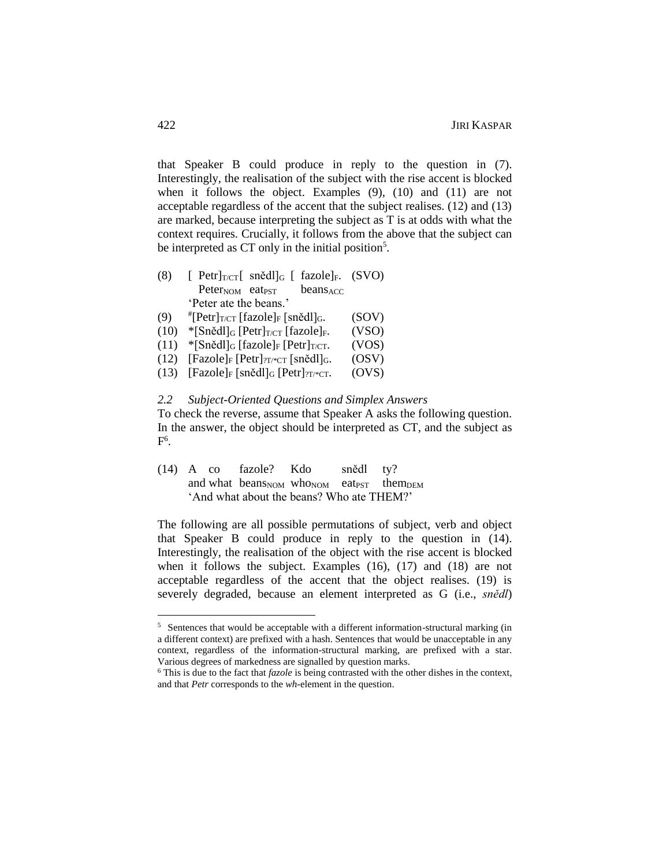that Speaker B could produce in reply to the question in (7). Interestingly, the realisation of the subject with the rise accent is blocked when it follows the object. Examples (9), (10) and (11) are not acceptable regardless of the accent that the subject realises. (12) and (13) are marked, because interpreting the subject as T is at odds with what the context requires. Crucially, it follows from the above that the subject can be interpreted as CT only in the initial position<sup>5</sup>.

- (8)  $[$  Petr $]_{T/CT}$ [ snědl $]_G$  [ fazole]<sub>F</sub>. (SVO)  $Peter_{NOM}$  eat<sub>PST</sub> beans<sub>ACC</sub> 'Peter ate the beans.'
- (9)  $E^{\#}[\text{Petr}]_{T/CT}$  [fazole]<sub>F</sub> [snědl]<sub>G</sub>. (SOV)
- (10)  $\text{\textdegree}[Sn\text{e}dl]_G$  [Petr]<sub>T/CT</sub> [fazole]<sub>F</sub>. (VSO)
- (11) \* $[Sn\text{e}dl]_G$  [fazole]<sub>F</sub> [Petr]<sub>T/CT</sub>. (VOS)
- (12)  $[{\text{Fazole}}]_F[{\text{Petr}}]_{T/\text{*CT}}[{\text{snědl}}]_G.$  (OSV)
- (13)  $[Facole]_F$   $[sn\check{e}dl]_G$   $[Petr]_{?T/*CT}.$  (OVS)

### *2.2 Subject-Oriented Questions and Simplex Answers*

To check the reverse, assume that Speaker A asks the following question. In the answer, the object should be interpreted as CT, and the subject as  $\mathrm{F}^6$ .

(14) A co fazole? Kdo snědl ty? and what beans<sub>NOM</sub> who<sub>NOM</sub> eat<sub>PST</sub> them<sub>DEM</sub> 'And what about the beans? Who ate THEM?'

The following are all possible permutations of subject, verb and object that Speaker B could produce in reply to the question in (14). Interestingly, the realisation of the object with the rise accent is blocked when it follows the subject. Examples (16), (17) and (18) are not acceptable regardless of the accent that the object realises. (19) is severely degraded, because an element interpreted as G (i.e., *snědl*)

 $\overline{a}$ 

<sup>5</sup> Sentences that would be acceptable with a different information-structural marking (in a different context) are prefixed with a hash. Sentences that would be unacceptable in any context, regardless of the information-structural marking, are prefixed with a star. Various degrees of markedness are signalled by question marks.

<sup>6</sup> This is due to the fact that *fazole* is being contrasted with the other dishes in the context, and that *Petr* corresponds to the *wh*-element in the question.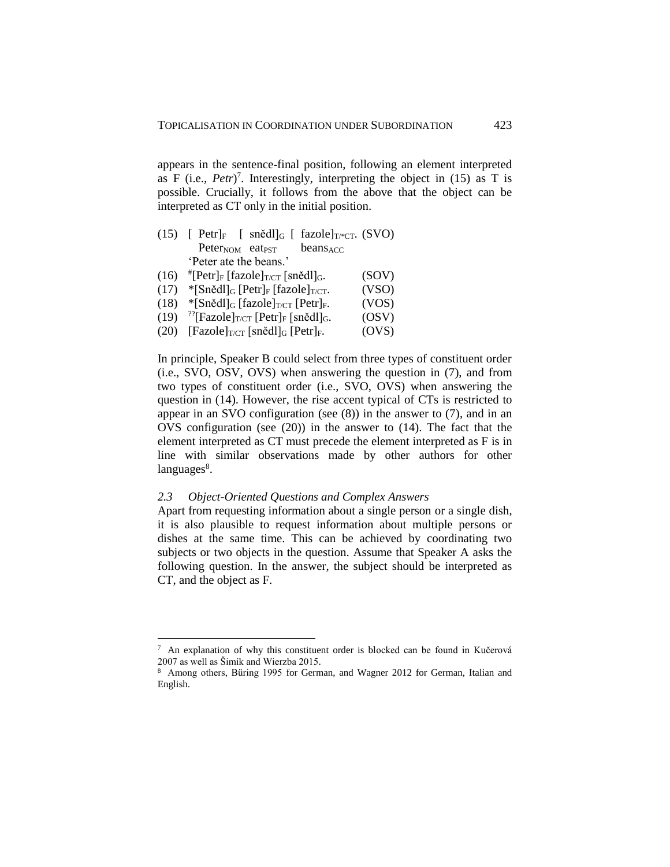appears in the sentence-final position, following an element interpreted as F (i.e.,  $Petr$ )<sup>7</sup>. Interestingly, interpreting the object in (15) as T is possible. Crucially, it follows from the above that the object can be interpreted as CT only in the initial position.

|      | (15) [ Petr] <sub>F</sub> [ snědl] <sub>G</sub> [ fazole] $_{T/^*CT}$ . (SVO)     |       |
|------|-----------------------------------------------------------------------------------|-------|
|      | Peter <sub>NOM</sub> eat <sub>PST</sub><br>beans <sub>ACC</sub>                   |       |
|      | 'Peter ate the beans.'                                                            |       |
| (16) | <sup>#</sup> [Petr] <sub>F</sub> [fazole] <sub>T/CT</sub> [snědl] <sub>G</sub> .  | (SOV) |
| (17) | $\frac{\text{*[Sněd]}}{\text{[Petr]}}$ [fazole] $\frac{\text{[Sn]}}{\text{[Sn]}}$ | (VSO) |

- $(17)$  \*[Snědl]<sub>G</sub> [Petr]<sub>F</sub> [fazole]<sub>T/CT</sub>. (VSO)
- (18)  $\text{\textdegree}[Sn\text{e}dl]_G$  [fazole]<sub>T/CT</sub> [Petr]<sub>F</sub>. (VOS)
- $(19)$  <sup>??</sup>[Fazole] $_{\text{T/CT}}$  [Petr]<sub>F</sub> [snědl]<sub>G</sub>. (OSV)
- (20)  $[Facole]_{T/CT}$  [snědl]<sub>G</sub> [Petr]<sub>F</sub>. (OVS)

In principle, Speaker B could select from three types of constituent order (i.e., SVO, OSV, OVS) when answering the question in (7), and from two types of constituent order (i.e., SVO, OVS) when answering the question in (14). However, the rise accent typical of CTs is restricted to appear in an SVO configuration (see (8)) in the answer to (7), and in an OVS configuration (see (20)) in the answer to (14). The fact that the element interpreted as CT must precede the element interpreted as F is in line with similar observations made by other authors for other languages<sup>8</sup>.

### *2.3 Object-Oriented Questions and Complex Answers*

 $\overline{a}$ 

Apart from requesting information about a single person or a single dish, it is also plausible to request information about multiple persons or dishes at the same time. This can be achieved by coordinating two subjects or two objects in the question. Assume that Speaker A asks the following question. In the answer, the subject should be interpreted as CT, and the object as F.

<sup>7</sup> An explanation of why this constituent order is blocked can be found in Kučerová 2007 as well as Šimík and Wierzba 2015.

<sup>8</sup> Among others, Büring 1995 for German, and Wagner 2012 for German, Italian and English.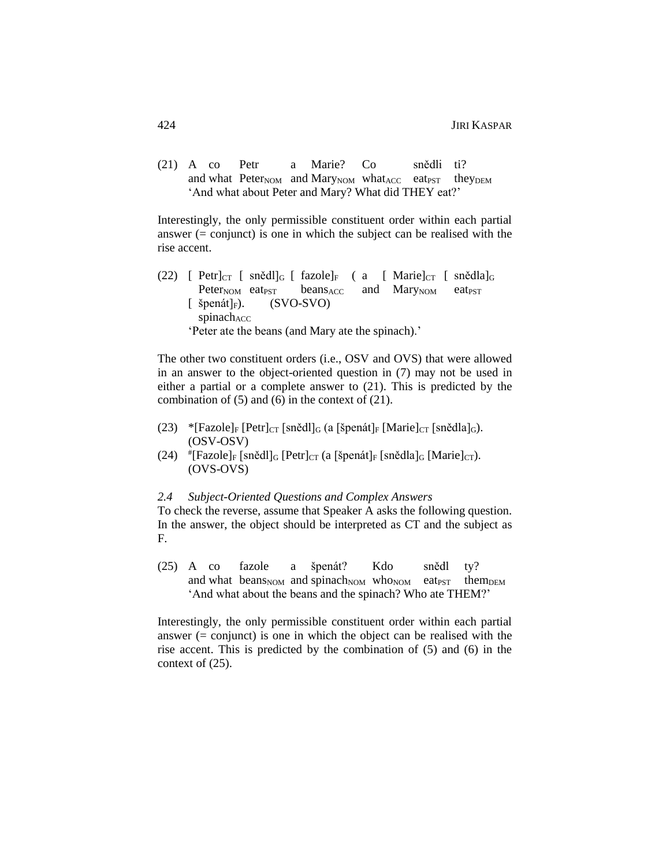(21) A co Petr a Marie? Co snědli ti? and what Peter<sub>NOM</sub> and Mary<sub>NOM</sub> what<sub>ACC</sub> eat<sub>PST</sub> they<sub>DEM</sub> 'And what about Peter and Mary? What did THEY eat?'

Interestingly, the only permissible constituent order within each partial answer  $(=$  conjunct) is one in which the subject can be realised with the rise accent.

(22) [ Petr] $_{CT}$  [ snědl] $_{G}$  [ fazole] $_{F}$  ( a [ Marie] $_{CT}$  [ snědla] $_{G}$ Peter<sub>NOM</sub> eat<sub>PST</sub> beans<sub>ACC</sub> and Mary<sub>NOM</sub> eat<sub>PST</sub>  $\lceil$  špenát $\rceil_F$ ). (SVO-SVO)  $spinach<sub>ACC</sub>$ 'Peter ate the beans (and Mary ate the spinach).'

The other two constituent orders (i.e., OSV and OVS) that were allowed in an answer to the object-oriented question in (7) may not be used in either a partial or a complete answer to (21). This is predicted by the combination of (5) and (6) in the context of (21).

- (23) \*[Fazole] $_F$  [Petr] $_{CT}$  [snědl] $_G$  (a [špenát] $_F$  [Marie] $_{CT}$  [snědla] $_G$ ). (OSV-OSV)
- (24)  $\text{#[Fazole]}_F$  [snědl]<sub>G</sub> [Petr]<sub>CT</sub> (a [špenát]<sub>F</sub> [snědla]<sub>G</sub> [Marie]<sub>CT</sub>). (OVS-OVS)

### *2.4 Subject-Oriented Questions and Complex Answers*

To check the reverse, assume that Speaker A asks the following question. In the answer, the object should be interpreted as CT and the subject as F.

(25) A co fazole a špenát? Kdo snědl ty? and what beans<sub>NOM</sub> and spinach<sub>NOM</sub> who<sub>NOM</sub> eat<sub>PST</sub> them<sub>DEM</sub> 'And what about the beans and the spinach? Who ate THEM?'

Interestingly, the only permissible constituent order within each partial answer (= conjunct) is one in which the object can be realised with the rise accent. This is predicted by the combination of (5) and (6) in the context of (25).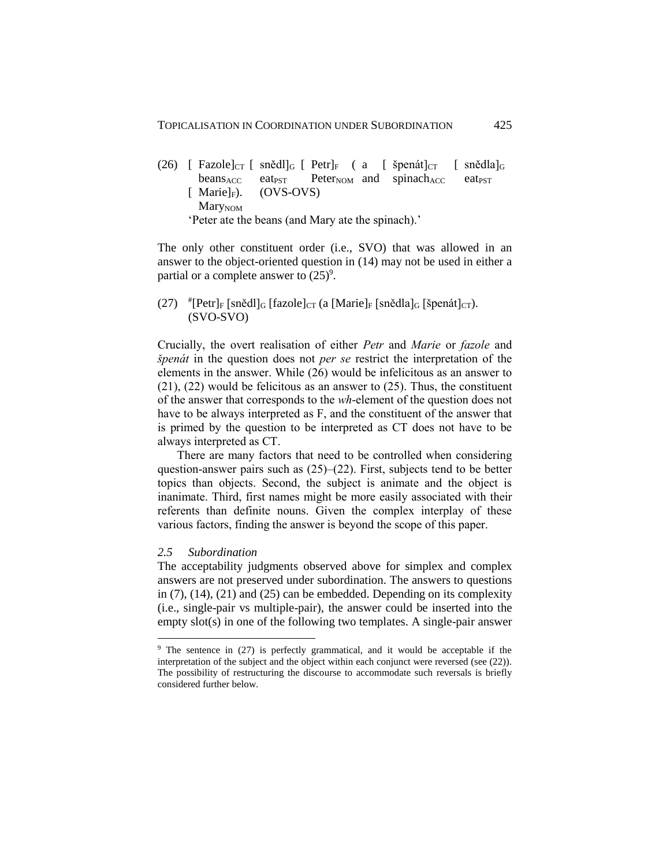(26)  $\lceil$  Fazole $\lceil$   $\lfloor$  snědl $\lceil$ <sub>G</sub>  $\lceil$  Petr $\rceil$ <sub>F</sub> ( a  $\lceil$  špenát $\lceil$ <sub>CT</sub>  $\lceil$  snědla $\lceil$ <sub>G</sub> beans<sub>ACC</sub> eat<sub>PST</sub> Peter<sub>NOM</sub> and spinach<sub>ACC</sub> eat<sub>PST</sub>  $[$  Marie $]_F$ ). (OVS-OVS) MaryNOM 'Peter ate the beans (and Mary ate the spinach).'

The only other constituent order (i.e., SVO) that was allowed in an answer to the object-oriented question in (14) may not be used in either a partial or a complete answer to  $(25)^9$ .

(27)  $*$ [Petr]<sub>F</sub> [snědl]<sub>G</sub> [fazole]<sub>CT</sub> (a [Marie]<sub>F</sub> [snědla]<sub>G</sub> [špenát]<sub>CT</sub>). (SVO-SVO)

Crucially, the overt realisation of either *Petr* and *Marie* or *fazole* and *špenát* in the question does not *per se* restrict the interpretation of the elements in the answer. While (26) would be infelicitous as an answer to (21), (22) would be felicitous as an answer to (25). Thus, the constituent of the answer that corresponds to the *wh*-element of the question does not have to be always interpreted as F, and the constituent of the answer that is primed by the question to be interpreted as CT does not have to be always interpreted as CT.

There are many factors that need to be controlled when considering question-answer pairs such as (25)–(22). First, subjects tend to be better topics than objects. Second, the subject is animate and the object is inanimate. Third, first names might be more easily associated with their referents than definite nouns. Given the complex interplay of these various factors, finding the answer is beyond the scope of this paper.

## *2.5 Subordination*

 $\overline{a}$ 

The acceptability judgments observed above for simplex and complex answers are not preserved under subordination. The answers to questions in (7), (14), (21) and (25) can be embedded. Depending on its complexity (i.e., single-pair vs multiple-pair), the answer could be inserted into the empty slot(s) in one of the following two templates. A single-pair answer

<sup>&</sup>lt;sup>9</sup> The sentence in (27) is perfectly grammatical, and it would be acceptable if the interpretation of the subject and the object within each conjunct were reversed (see (22)). The possibility of restructuring the discourse to accommodate such reversals is briefly considered further below.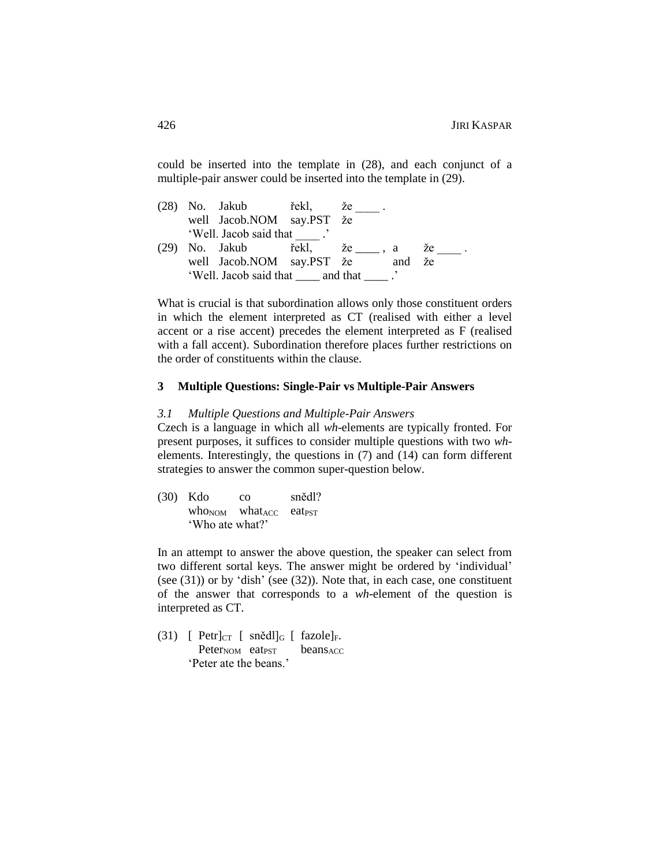could be inserted into the template in (28), and each conjunct of a multiple-pair answer could be inserted into the template in (29).

(28) No. Jakub řekl, že well Jacob.NOM say.PST že 'Well. Jacob said that (29) No. Jakub řekl, že  $_2$ , a že well Jacob.NOM say.PST že and že 'Well. Jacob said that \_\_\_\_ and that \_\_\_\_ .'

What is crucial is that subordination allows only those constituent orders in which the element interpreted as CT (realised with either a level accent or a rise accent) precedes the element interpreted as F (realised with a fall accent). Subordination therefore places further restrictions on the order of constituents within the clause.

### **3 Multiple Questions: Single-Pair vs Multiple-Pair Answers**

### *3.1 Multiple Questions and Multiple-Pair Answers*

Czech is a language in which all *wh*-elements are typically fronted. For present purposes, it suffices to consider multiple questions with two *wh*elements. Interestingly, the questions in (7) and (14) can form different strategies to answer the common super-question below.

(30) Kdo co snědl?  $who<sub>NOM</sub>$  what<sub>ACC</sub> eat<sub>PST</sub> 'Who ate what?'

In an attempt to answer the above question, the speaker can select from two different sortal keys. The answer might be ordered by 'individual' (see  $(31)$ ) or by 'dish' (see  $(32)$ ). Note that, in each case, one constituent of the answer that corresponds to a *wh*-element of the question is interpreted as CT.

(31)  $[$  Petr $]_{CT}$   $[$  snědl $]_G$   $[$  fazole $]_F$ .  $Peter_{NOM}$  eat<sub>PST</sub> beans<sub>ACC</sub> 'Peter ate the beans.'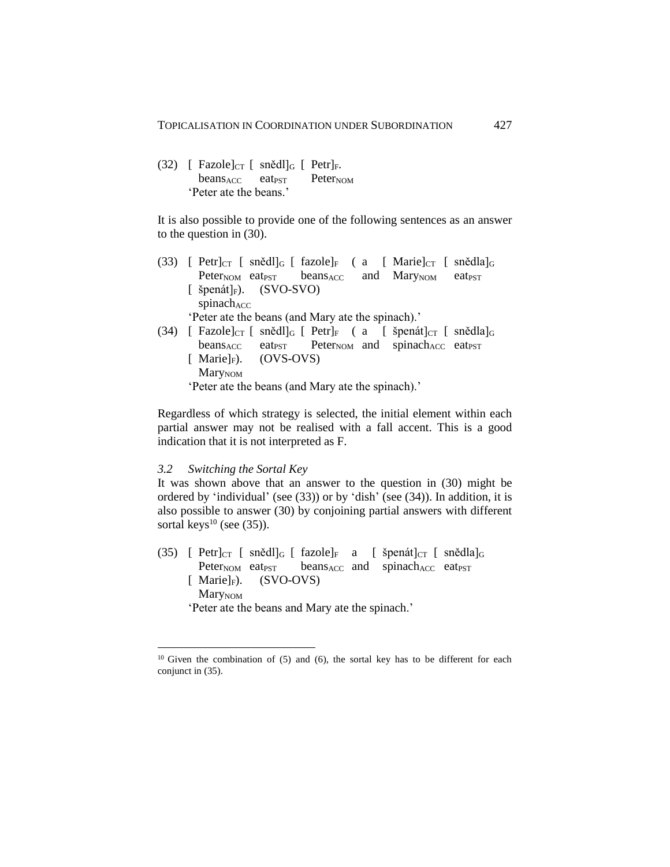(32)  $\int$  Fazole $\vert$ <sub>CT</sub>  $\int$  snědl $\vert$ <sub>G</sub>  $\int$  Petr $\vert$ <sub>F</sub>.  $beans<sub>ACC</sub>$  eat<sub>PST</sub> Peter<sub>NOM</sub> 'Peter ate the beans.'

It is also possible to provide one of the following sentences as an answer to the question in (30).

- (33)  $[$  Petr $]_{CT}$   $[$  sněd $]_{G}$   $[$  fazole $]_{F}$   $[$  a  $[$  Marie $]_{CT}$   $[$  snědla $]_{G}$ Peter<sub>NOM</sub> eat<sub>PST</sub> beans<sub>ACC</sub> and Mary<sub>NOM</sub> eat<sub>PST</sub> [ špenát] $_F$ ). (SVO-SVO)  $spinach<sub>ACC</sub>$ 'Peter ate the beans (and Mary ate the spinach).'
- (34) [ Fazole] $_{CT}$  [ snědl] $_G$  [ Petr] $_F$  ( a [ špenát] $_{CT}$  [ snědla] $_G$ beans<sub>ACC</sub> eat<sub>PST</sub> Peter<sub>NOM</sub> and spinach<sub>ACC</sub> eat<sub>PST</sub>  $[$  Marie $]_F$ ). (OVS-OVS) MaryNOM

'Peter ate the beans (and Mary ate the spinach).'

Regardless of which strategy is selected, the initial element within each partial answer may not be realised with a fall accent. This is a good indication that it is not interpreted as F.

### *3.2 Switching the Sortal Key*

 $\overline{a}$ 

It was shown above that an answer to the question in (30) might be ordered by 'individual' (see (33)) or by 'dish' (see (34)). In addition, it is also possible to answer (30) by conjoining partial answers with different sortal keys $^{10}$  (see (35)).

(35) [ Petr] $_{CT}$  [ snědl] $_{G}$  [ fazole] $_{F}$  a [ špenát] $_{CT}$  [ snědla] $_{G}$ Peter<sub>NOM</sub> eat<sub>PST</sub> beans<sub>ACC</sub> and spinach<sub>ACC</sub> eat<sub>PST</sub>  $[$  Marie $]_F$ ). (SVO-OVS) MaryNOM

'Peter ate the beans and Mary ate the spinach.'

<sup>&</sup>lt;sup>10</sup> Given the combination of  $(5)$  and  $(6)$ , the sortal key has to be different for each conjunct in (35).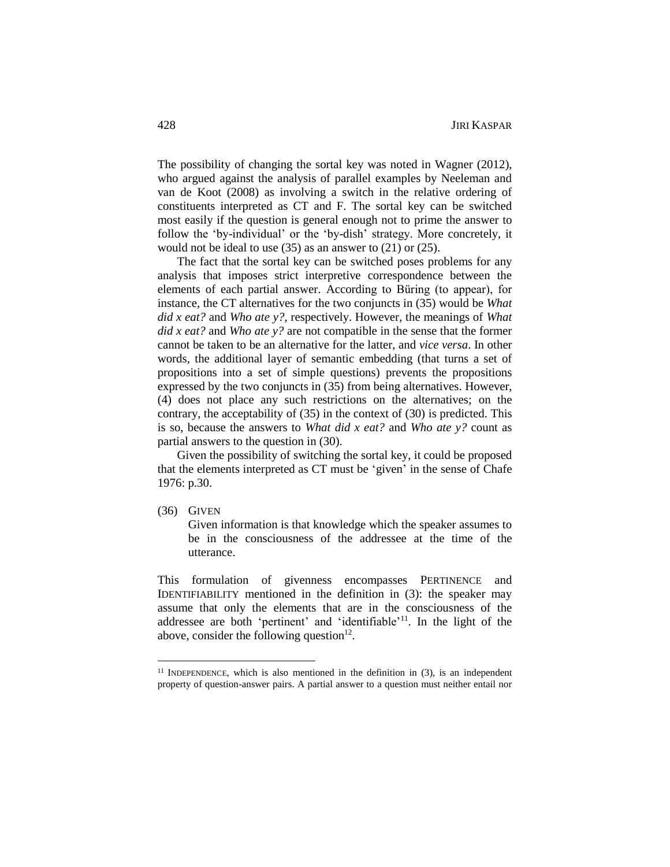The possibility of changing the sortal key was noted in Wagner (2012), who argued against the analysis of parallel examples by Neeleman and van de Koot (2008) as involving a switch in the relative ordering of constituents interpreted as CT and F. The sortal key can be switched most easily if the question is general enough not to prime the answer to follow the 'by-individual' or the 'by-dish' strategy. More concretely, it would not be ideal to use (35) as an answer to (21) or (25).

The fact that the sortal key can be switched poses problems for any analysis that imposes strict interpretive correspondence between the elements of each partial answer. According to Büring (to appear), for instance, the CT alternatives for the two conjuncts in (35) would be *What did x eat?* and *Who ate y?*, respectively. However, the meanings of *What did x eat?* and *Who ate y?* are not compatible in the sense that the former cannot be taken to be an alternative for the latter, and *vice versa*. In other words, the additional layer of semantic embedding (that turns a set of propositions into a set of simple questions) prevents the propositions expressed by the two conjuncts in (35) from being alternatives. However, (4) does not place any such restrictions on the alternatives; on the contrary, the acceptability of (35) in the context of (30) is predicted. This is so, because the answers to *What did x eat?* and *Who ate y?* count as partial answers to the question in (30).

Given the possibility of switching the sortal key, it could be proposed that the elements interpreted as CT must be 'given' in the sense of Chafe 1976: p.30.

(36) GIVEN

 $\overline{a}$ 

Given information is that knowledge which the speaker assumes to be in the consciousness of the addressee at the time of the utterance.

This formulation of givenness encompasses PERTINENCE and IDENTIFIABILITY mentioned in the definition in (3): the speaker may assume that only the elements that are in the consciousness of the addressee are both 'pertinent' and 'identifiable'<sup>11</sup>. In the light of the above, consider the following question $12$ .

 $11$  INDEPENDENCE, which is also mentioned in the definition in (3), is an independent property of question-answer pairs. A partial answer to a question must neither entail nor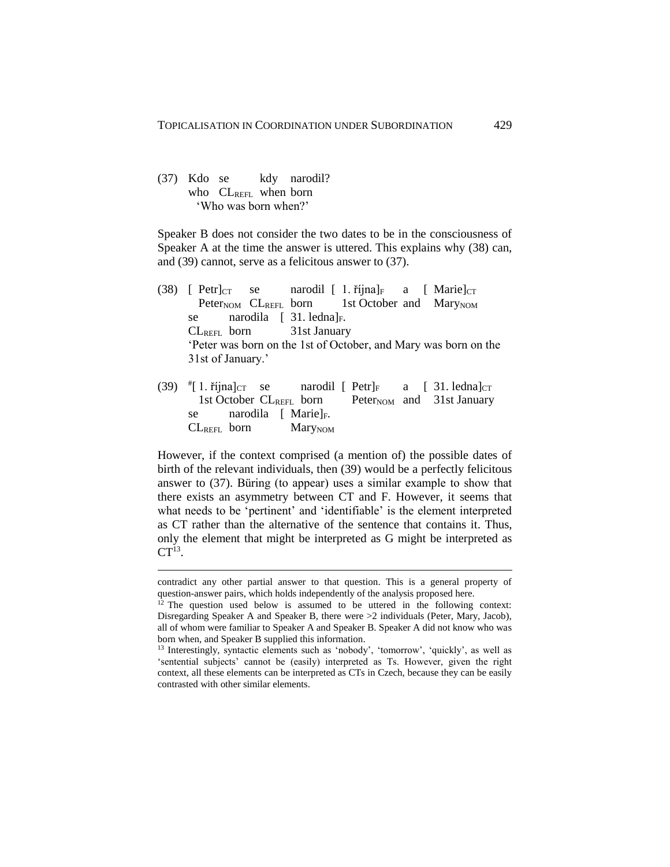## (37) Kdo se kdy narodil? who CLREFL when born 'Who was born when?'

 $\overline{a}$ 

Speaker B does not consider the two dates to be in the consciousness of Speaker A at the time the answer is uttered. This explains why (38) can, and (39) cannot, serve as a felicitous answer to (37).

- (38) [ Petr] $_{CT}$  se narodil [ 1. října] $_F$  a [ Marie] $_{CT}$ Peter<sub>NOM</sub>  $CL_{REFL}$  born 1st October and Mary<sub>NOM</sub> se narodila  $\begin{bmatrix} 31. \text{ ledna} \end{bmatrix}$ F. CLREFL born 31st January 'Peter was born on the 1st of October, and Mary was born on the 31st of January.'
- (39) # narodil  $[$  Petr $]_F$  a  $[$  31. ledna $]_{CT}$ 1st October  $CL_{REFL}$  born Peter<sub>NOM</sub> and 31st January se narodila [ Marie]<sub>F</sub>. CLREFL born MaryNOM

However, if the context comprised (a mention of) the possible dates of birth of the relevant individuals, then (39) would be a perfectly felicitous answer to (37). Büring (to appear) uses a similar example to show that there exists an asymmetry between CT and F. However, it seems that what needs to be 'pertinent' and 'identifiable' is the element interpreted as CT rather than the alternative of the sentence that contains it. Thus, only the element that might be interpreted as G might be interpreted as  $CT<sup>13</sup>$ .

contradict any other partial answer to that question. This is a general property of question-answer pairs, which holds independently of the analysis proposed here.

 $12$  The question used below is assumed to be uttered in the following context: Disregarding Speaker A and Speaker B, there were >2 individuals (Peter, Mary, Jacob), all of whom were familiar to Speaker A and Speaker B. Speaker A did not know who was born when, and Speaker B supplied this information.

<sup>13</sup> Interestingly, syntactic elements such as 'nobody', 'tomorrow', 'quickly', as well as 'sentential subjects' cannot be (easily) interpreted as Ts. However, given the right context, all these elements can be interpreted as CTs in Czech, because they can be easily contrasted with other similar elements.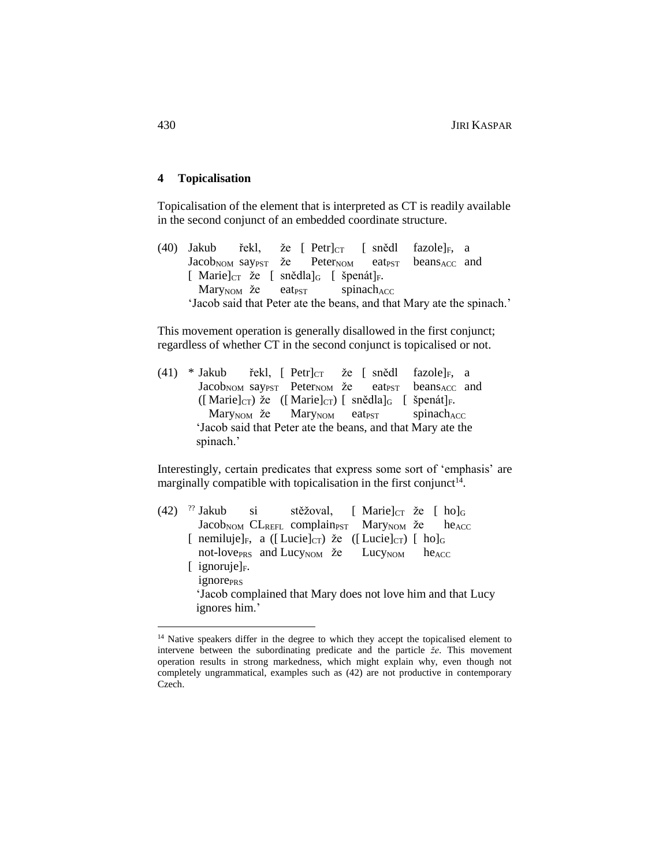### **4 Topicalisation**

Topicalisation of the element that is interpreted as CT is readily available in the second conjunct of an embedded coordinate structure.

(40) Jakub řekl, že  $[$  Petr $]_{CT}$   $[$  snědl fazole $]_F$ , a Jacob<sub>NOM</sub> say<sub>PST</sub> že Peter<sub>NOM</sub> eat<sub>PST</sub> beans<sub>ACC</sub> and [ Marie] $_{CT}$  že [ snědla] $_{G}$  [ špenát] $_{F}$ .  $Mary<sub>NOM</sub>$  že eat<sub>PST</sub> spinach<sub>ACC</sub> 'Jacob said that Peter ate the beans, and that Mary ate the spinach.'

This movement operation is generally disallowed in the first conjunct; regardless of whether CT in the second conjunct is topicalised or not.

(41) \* Jakub řekl,  $[$  Petr $]_{CT}$  že  $[$  snědl fazole $]_F$ , a Jacob<sub>NOM</sub> say<sub>PST</sub> Peter<sub>NOM</sub> že eat<sub>PST</sub> beans<sub>ACC</sub> and  $([ \text{ Marie}]_{\text{CT}})$  že  $([ \text{ Marie}]_{\text{CT}})$  [ snědla]<sub>G</sub> [ špenát]<sub>F</sub>. Mary<sub>NOM</sub> že Mary<sub>NOM</sub> eat<sub>PST</sub> spinach<sub>ACC</sub> 'Jacob said that Peter ate the beans, and that Mary ate the spinach.'

Interestingly, certain predicates that express some sort of 'emphasis' are marginally compatible with topicalisation in the first conjunct<sup>14</sup>.

 $(42)$  <sup>??</sup> si stěžoval, [ Marie] $_{CT}$  že [ ho] $_{G}$ Jacob<sub>NOM</sub> CL<sub>REFL</sub> complain<sub>PST</sub> Mary<sub>NOM</sub> že he<sub>ACC</sub> [ nemiluje] $_F$ , a ([ Lucie] $_{CT}$ ) že ([ Lucie] $_{CT}$ ) [ ho] $_{G}$ not-love<sub>PRS</sub> and Lucy<sub>NOM</sub> že Lucy<sub>NOM</sub> he<sub>ACC</sub>  $[iqnoruje]_F$ . ignore<sub>PRS</sub> 'Jacob complained that Mary does not love him and that Lucy ignores him.'

 $\overline{a}$ 

<sup>&</sup>lt;sup>14</sup> Native speakers differ in the degree to which they accept the topicalised element to intervene between the subordinating predicate and the particle *že*. This movement operation results in strong markedness, which might explain why, even though not completely ungrammatical, examples such as (42) are not productive in contemporary Czech.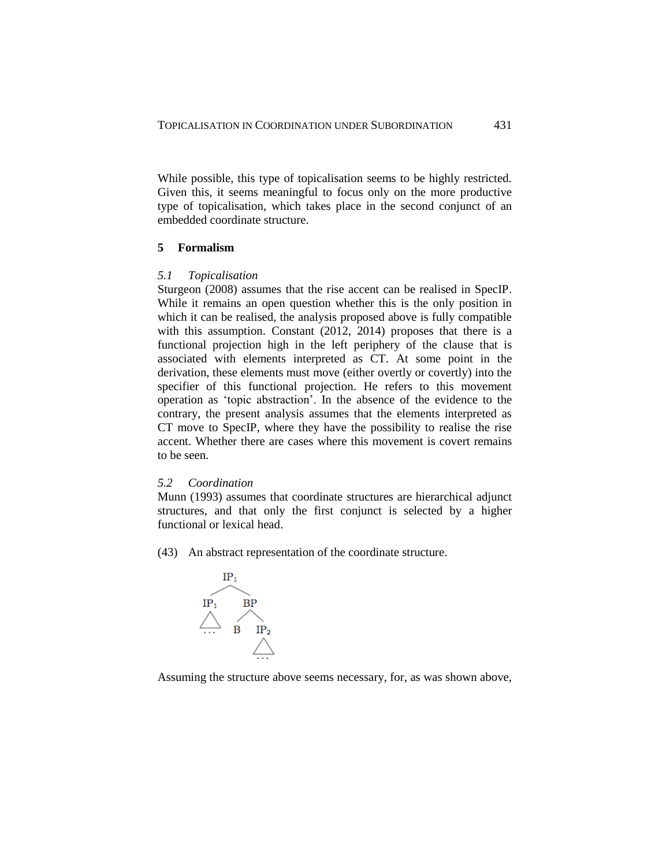While possible, this type of topicalisation seems to be highly restricted. Given this, it seems meaningful to focus only on the more productive type of topicalisation, which takes place in the second conjunct of an embedded coordinate structure.

## **5 Formalism**

### *5.1 Topicalisation*

Sturgeon (2008) assumes that the rise accent can be realised in SpecIP. While it remains an open question whether this is the only position in which it can be realised, the analysis proposed above is fully compatible with this assumption. Constant (2012, 2014) proposes that there is a functional projection high in the left periphery of the clause that is associated with elements interpreted as CT. At some point in the derivation, these elements must move (either overtly or covertly) into the specifier of this functional projection. He refers to this movement operation as 'topic abstraction'. In the absence of the evidence to the contrary, the present analysis assumes that the elements interpreted as CT move to SpecIP, where they have the possibility to realise the rise accent. Whether there are cases where this movement is covert remains to be seen.

### *5.2 Coordination*

Munn (1993) assumes that coordinate structures are hierarchical adjunct structures, and that only the first conjunct is selected by a higher functional or lexical head.

(43) An abstract representation of the coordinate structure.



Assuming the structure above seems necessary, for, as was shown above,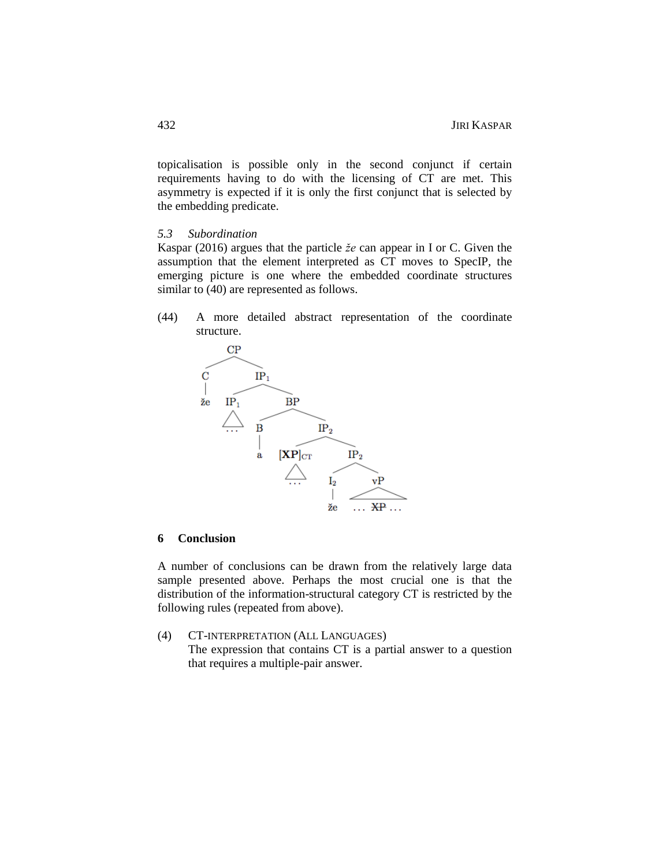topicalisation is possible only in the second conjunct if certain requirements having to do with the licensing of CT are met. This asymmetry is expected if it is only the first conjunct that is selected by the embedding predicate.

## *5.3 Subordination*

Kaspar (2016) argues that the particle *že* can appear in I or C. Given the assumption that the element interpreted as CT moves to SpecIP, the emerging picture is one where the embedded coordinate structures similar to  $(40)$  are represented as follows.

(44) A more detailed abstract representation of the coordinate structure.



# **6 Conclusion**

A number of conclusions can be drawn from the relatively large data sample presented above. Perhaps the most crucial one is that the distribution of the information-structural category CT is restricted by the following rules (repeated from above).

(4) CT-INTERPRETATION (ALL LANGUAGES) The expression that contains CT is a partial answer to a question that requires a multiple-pair answer.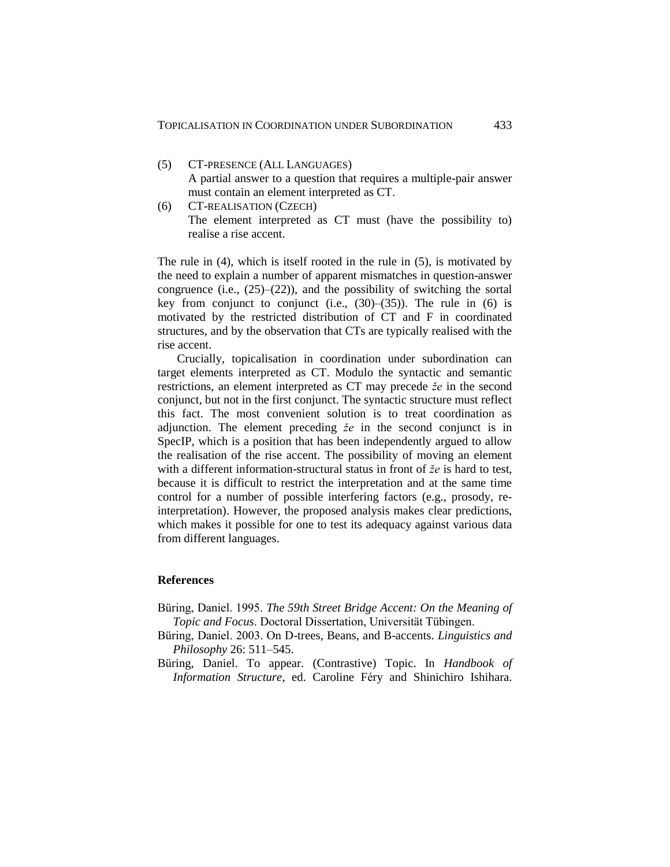- (5) CT-PRESENCE (ALL LANGUAGES) A partial answer to a question that requires a multiple-pair answer must contain an element interpreted as CT.
- (6) CT-REALISATION (CZECH) The element interpreted as CT must (have the possibility to) realise a rise accent.

The rule in (4), which is itself rooted in the rule in (5), is motivated by the need to explain a number of apparent mismatches in question-answer congruence (i.e.,  $(25)$ – $(22)$ ), and the possibility of switching the sortal key from conjunct to conjunct (i.e.,  $(30)$ – $(35)$ ). The rule in (6) is motivated by the restricted distribution of CT and F in coordinated structures, and by the observation that CTs are typically realised with the rise accent.

Crucially, topicalisation in coordination under subordination can target elements interpreted as CT. Modulo the syntactic and semantic restrictions, an element interpreted as CT may precede *že* in the second conjunct, but not in the first conjunct. The syntactic structure must reflect this fact. The most convenient solution is to treat coordination as adjunction. The element preceding *že* in the second conjunct is in SpecIP, which is a position that has been independently argued to allow the realisation of the rise accent. The possibility of moving an element with a different information-structural status in front of *že* is hard to test, because it is difficult to restrict the interpretation and at the same time control for a number of possible interfering factors (e.g., prosody, reinterpretation). However, the proposed analysis makes clear predictions, which makes it possible for one to test its adequacy against various data from different languages.

### **References**

- Büring, Daniel. 1995. *The 59th Street Bridge Accent: On the Meaning of Topic and Focus*. Doctoral Dissertation, Universität Tübingen.
- Büring, Daniel. 2003. On D-trees, Beans, and B-accents. *Linguistics and Philosophy* 26: 511–545.
- Büring, Daniel. To appear. (Contrastive) Topic. In *Handbook of Information Structure*, ed. Caroline Féry and Shinichiro Ishihara.